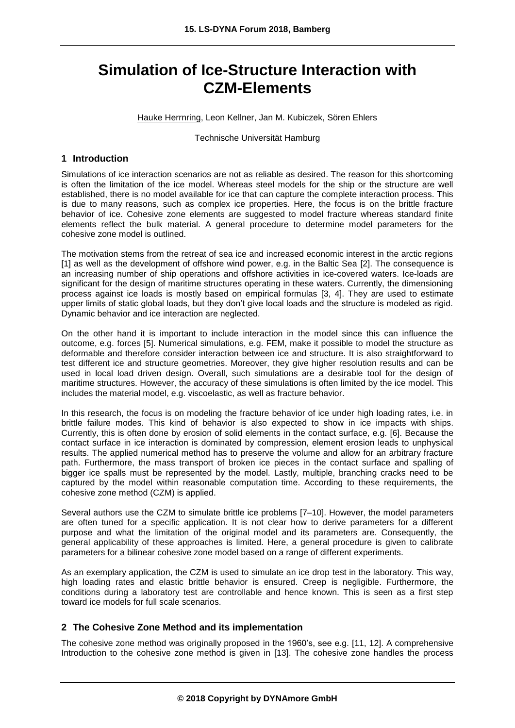# **Simulation of Ice-Structure Interaction with CZM-Elements**

Hauke Herrnring, Leon Kellner, Jan M. Kubiczek, Sören Ehlers

Technische Universität Hamburg

## **1 Introduction**

Simulations of ice interaction scenarios are not as reliable as desired. The reason for this shortcoming is often the limitation of the ice model. Whereas steel models for the ship or the structure are well established, there is no model available for ice that can capture the complete interaction process. This is due to many reasons, such as complex ice properties. Here, the focus is on the brittle fracture behavior of ice. Cohesive zone elements are suggested to model fracture whereas standard finite elements reflect the bulk material. A general procedure to determine model parameters for the cohesive zone model is outlined.

The motivation stems from the retreat of sea ice and increased economic interest in the arctic regions [1] as well as the development of offshore wind power, e.g. in the Baltic Sea [2]. The consequence is an increasing number of ship operations and offshore activities in ice-covered waters. Ice-loads are significant for the design of maritime structures operating in these waters. Currently, the dimensioning process against ice loads is mostly based on empirical formulas [3, 4]. They are used to estimate upper limits of static global loads, but they don't give local loads and the structure is modeled as rigid. Dynamic behavior and ice interaction are neglected.

On the other hand it is important to include interaction in the model since this can influence the outcome, e.g. forces [5]. Numerical simulations, e.g. FEM, make it possible to model the structure as deformable and therefore consider interaction between ice and structure. It is also straightforward to test different ice and structure geometries. Moreover, they give higher resolution results and can be used in local load driven design. Overall, such simulations are a desirable tool for the design of maritime structures. However, the accuracy of these simulations is often limited by the ice model. This includes the material model, e.g. viscoelastic, as well as fracture behavior.

In this research, the focus is on modeling the fracture behavior of ice under high loading rates, i.e. in brittle failure modes. This kind of behavior is also expected to show in ice impacts with ships. Currently, this is often done by erosion of solid elements in the contact surface, e.g. [6]. Because the contact surface in ice interaction is dominated by compression, element erosion leads to unphysical results. The applied numerical method has to preserve the volume and allow for an arbitrary fracture path. Furthermore, the mass transport of broken ice pieces in the contact surface and spalling of bigger ice spalls must be represented by the model. Lastly, multiple, branching cracks need to be captured by the model within reasonable computation time. According to these requirements, the cohesive zone method (CZM) is applied.

Several authors use the CZM to simulate brittle ice problems [7–10]. However, the model parameters are often tuned for a specific application. It is not clear how to derive parameters for a different purpose and what the limitation of the original model and its parameters are. Consequently, the general applicability of these approaches is limited. Here, a general procedure is given to calibrate parameters for a bilinear cohesive zone model based on a range of different experiments.

As an exemplary application, the CZM is used to simulate an ice drop test in the laboratory. This way, high loading rates and elastic brittle behavior is ensured. Creep is negligible. Furthermore, the conditions during a laboratory test are controllable and hence known. This is seen as a first step toward ice models for full scale scenarios.

## **2 The Cohesive Zone Method and its implementation**

The cohesive zone method was originally proposed in the 1960's, see e.g. [11, 12]. A comprehensive Introduction to the cohesive zone method is given in [13]. The cohesive zone handles the process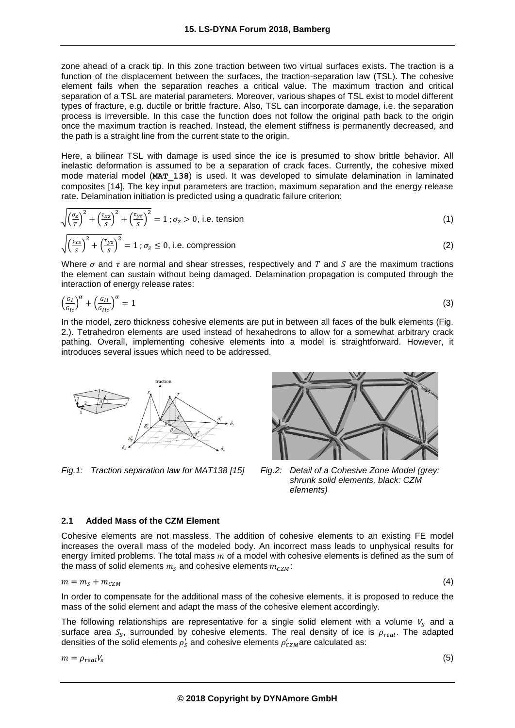zone ahead of a crack tip. In this zone traction between two virtual surfaces exists. The traction is a function of the displacement between the surfaces, the traction-separation law (TSL). The cohesive element fails when the separation reaches a critical value. The maximum traction and critical separation of a TSL are material parameters. Moreover, various shapes of TSL exist to model different types of fracture, e.g. ductile or brittle fracture. Also, TSL can incorporate damage, i.e. the separation process is irreversible. In this case the function does not follow the original path back to the origin once the maximum traction is reached. Instead, the element stiffness is permanently decreased, and the path is a straight line from the current state to the origin.

Here, a bilinear TSL with damage is used since the ice is presumed to show brittle behavior. All inelastic deformation is assumed to be a separation of crack faces. Currently, the cohesive mixed mode material model (**MAT\_138**) is used. It was developed to simulate delamination in laminated composites [14]. The key input parameters are traction, maximum separation and the energy release rate. Delamination initiation is predicted using a quadratic failure criterion:

$$
\sqrt{\left(\frac{\sigma_z}{T}\right)^2 + \left(\frac{\tau_{xz}}{S}\right)^2 + \left(\frac{\tau_{yz}}{S}\right)^2} = 1; \sigma_z > 0, \text{ i.e. tension}
$$
\n
$$
\sqrt{\left(\frac{\sigma_z}{S}\right)^2 + \left(\frac{\tau_{yz}}{S}\right)^2} = 1; \sigma_z > 0, \text{ i.e. tension}
$$
\n
$$
(1)
$$

$$
\sqrt{\left(\frac{\tau_{xz}}{S}\right)^2 + \left(\frac{\tau_{yz}}{S}\right)^2} = 1 \; ; \; \sigma_z \le 0, \text{ i.e. compression}
$$
 (2)

Where  $\sigma$  and  $\tau$  are normal and shear stresses, respectively and  $T$  and  $S$  are the maximum tractions the element can sustain without being damaged. Delamination propagation is computed through the interaction of energy release rates:

$$
\left(\frac{G_I}{G_{Ic}}\right)^{\alpha} + \left(\frac{G_{II}}{G_{Ilc}}\right)^{\alpha} = 1\tag{3}
$$

In the model, zero thickness cohesive elements are put in between all faces of the bulk elements (Fig. 2.). Tetrahedron elements are used instead of hexahedrons to allow for a somewhat arbitrary crack pathing. Overall, implementing cohesive elements into a model is straightforward. However, it introduces several issues which need to be addressed.



*Fig.1: Traction separation law for MAT138 [15] Fig.2: Detail of a Cohesive Zone Model (grey:* 



*shrunk solid elements, black: CZM elements)*

## **2.1 Added Mass of the CZM Element**

Cohesive elements are not massless. The addition of cohesive elements to an existing FE model increases the overall mass of the modeled body. An incorrect mass leads to unphysical results for energy limited problems. The total mass  $m$  of a model with cohesive elements is defined as the sum of the mass of solid elements  $m_S$  and cohesive elements  $m_{CZM}$ :

$$
m = m_S + m_{CZM} \tag{4}
$$

In order to compensate for the additional mass of the cohesive elements, it is proposed to reduce the mass of the solid element and adapt the mass of the cohesive element accordingly.

The following relationships are representative for a single solid element with a volume  $V_s$  and a surface area  $S_S$ , surrounded by cohesive elements. The real density of ice is  $\rho_{real}$ . The adapted densities of the solid elements  $\rho_{\mathcal{S}}'$  and cohesive elements  $\rho_{\mathcal{C}ZM}'$ are calculated as:

$$
m=\rho_{real}V_s
$$

(5)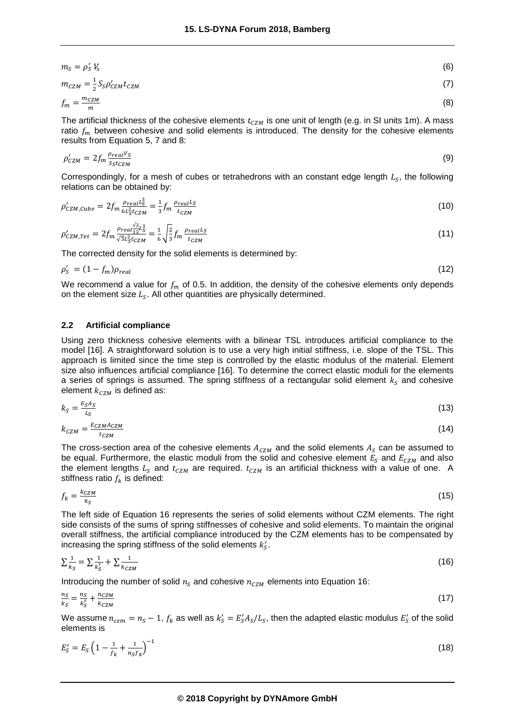$$
m_S = \rho_S' V_S
$$
  
(6)  

$$
m_{CZM} = \frac{1}{2} S_S \rho_{CZM}' t_{CZM}
$$

$$
f_m = \frac{m_{CZM}}{m} \tag{8}
$$

The artificial thickness of the cohesive elements  $t_{CZM}$  is one unit of length (e.g. in SI units 1m). A mass ratio  $f_m$  between cohesive and solid elements is introduced. The density for the cohesive elements results from Equation 5, 7 and 8:

$$
\rho'_{CZM} = 2f_m \frac{\rho_{real} V_S}{S_S t_{CZM}} \tag{9}
$$

Correspondingly, for a mesh of cubes or tetrahedrons with an constant edge length  $L_S$ , the following relations can be obtained by:

$$
\rho'_{CZM,Cube} = 2f_m \frac{\rho_{real}L_S^3}{6L_S^2t_{CZM}} = \frac{1}{3}f_m \frac{\rho_{real}L_S}{t_{CZM}}
$$
(10)

$$
\rho'_{CZM, Tet} = 2f_m \frac{\rho_{real12}^{2}L_S^3}{\sqrt{3}L_S^2 t_{CZM}} = \frac{1}{6} \sqrt{\frac{2}{3}} f_m \frac{\rho_{realL_S}}{t_{CZM}}
$$
\n(11)

The corrected density for the solid elements is determined by:

$$
\rho_S' = (1 - f_m)\rho_{real} \tag{12}
$$

We recommend a value for  $f_m$  of 0.5. In addition, the density of the cohesive elements only depends on the element size  $L_{\mathcal{S}}$ . All other quantities are physically determined.

#### **2.2 Artificial compliance**

Using zero thickness cohesive elements with a bilinear TSL introduces artificial compliance to the model [16]. A straightforward solution is to use a very high initial stiffness, i.e. slope of the TSL. This approach is limited since the time step is controlled by the elastic modulus of the material. Element size also influences artificial compliance [16]. To determine the correct elastic moduli for the elements a series of springs is assumed. The spring stiffness of a rectangular solid element  $k<sub>s</sub>$  and cohesive element  $k_{cZM}$  is defined as:

$$
k_S = \frac{E_S A_S}{L_S} \tag{13}
$$

$$
k_{CZM} = \frac{E_{CZM}^{ACZM}}{t_{CZM}} \tag{14}
$$

The cross-section area of the cohesive elements  $A_{cZM}$  and the solid elements  $A_S$  can be assumed to be equal. Furthermore, the elastic moduli from the solid and cohesive element  $E_s$  and  $E_{czM}$  and also the element lengths  $L_s$  and  $t_{cZM}$  are required.  $t_{cZM}$  is an artificial thickness with a value of one. A stiffness ratio  $f_k$  is defined:

$$
f_k = \frac{k_{CZM}}{k_S} \tag{15}
$$

The left side of Equation 16 represents the series of solid elements without CZM elements. The right side consists of the sums of spring stiffnesses of cohesive and solid elements. To maintain the original overall stiffness, the artificial compliance introduced by the CZM elements has to be compensated by increasing the spring stiffness of the solid elements  $k^{\prime}_\mathcal{S}.$ 

$$
\sum \frac{1}{k_S} = \sum \frac{1}{k_S'} + \sum \frac{1}{k_{CZM}}
$$
\n(16)

Introducing the number of solid  $n<sub>S</sub>$  and cohesive  $n<sub>CZM</sub>$  elements into Equation 16:

$$
\frac{n_S}{k_S} = \frac{n_S}{k'_S} + \frac{n_{CZM}}{k_{CZM}}\tag{17}
$$

We assume  $n_{czm} = n_S - 1$ ,  $f_k$  as well as  $k'_S = E'_S A_S / L_S$ , then the adapted elastic modulus  $E'_S$  of the solid elements is

$$
E'_{S} = E_{S} \left( 1 - \frac{1}{f_{k}} + \frac{1}{n_{S}f_{k}} \right)^{-1}
$$
\n(18)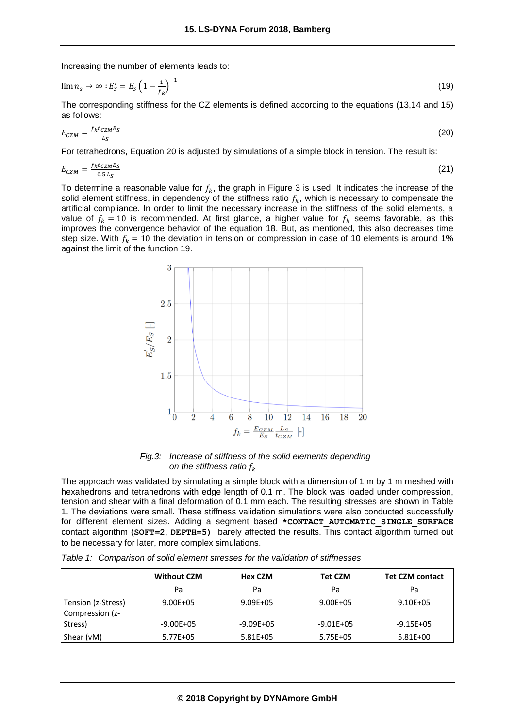Increasing the number of elements leads to:

$$
\lim n_s \to \infty : E'_S = E_S \left( 1 - \frac{1}{f_k} \right)^{-1} \tag{19}
$$

The corresponding stiffness for the CZ elements is defined according to the equations (13,14 and 15) as follows:

$$
E_{CZM} = \frac{f_k t_{CZM} E_S}{L_S} \tag{20}
$$

For tetrahedrons, Equation 20 is adjusted by simulations of a simple block in tension. The result is:

$$
E_{CZM} = \frac{f_k t_{CZM} E_S}{0.5 L_S} \tag{21}
$$

To determine a reasonable value for  $f_k$ , the graph in Figure 3 is used. It indicates the increase of the solid element stiffness, in dependency of the stiffness ratio  $f_k$ , which is necessary to compensate the artificial compliance. In order to limit the necessary increase in the stiffness of the solid elements, a value of  $f_k = 10$  is recommended. At first glance, a higher value for  $f_k$  seems favorable, as this improves the convergence behavior of the equation 18. But, as mentioned, this also decreases time step size. With  $f_k = 10$  the deviation in tension or compression in case of 10 elements is around 1% against the limit of the function 19.



*Fig.3: Increase of stiffness of the solid elements depending on the stiffness ratio*

The approach was validated by simulating a simple block with a dimension of 1 m by 1 m meshed with hexahedrons and tetrahedrons with edge length of 0.1 m. The block was loaded under compression, tension and shear with a final deformation of 0.1 mm each. The resulting stresses are shown in Table 1. The deviations were small. These stiffness validation simulations were also conducted successfully for different element sizes. Adding a segment based **\*CONTACT\_AUTOMATIC\_SINGLE\_SURFACE**  contact algorithm (**SOFT=2**, **DEPTH=5)** barely affected the results. This contact algorithm turned out to be necessary for later, more complex simulations.

|                                       | <b>Without CZM</b> | <b>Hex CZM</b> | <b>Tet CZM</b> | <b>Tet CZM contact</b> |
|---------------------------------------|--------------------|----------------|----------------|------------------------|
|                                       | Pa                 | Pa             | Pa             | Pa                     |
| Tension (z-Stress)<br>Compression (z- | $9.00E + 05$       | $9.09E + 05$   | $9.00E + 05$   | $9.10E + 05$           |
| Stress)                               | $-9.00E + 05$      | $-9.09E + 05$  | $-9.01E + 05$  | $-9.15E + 05$          |
| Shear (vM)                            | 5.77E+05           | $5.81E + 05$   | 5.75E+05       | $5.81E+00$             |

*Table 1: Comparison of solid element stresses for the validation of stiffnesses*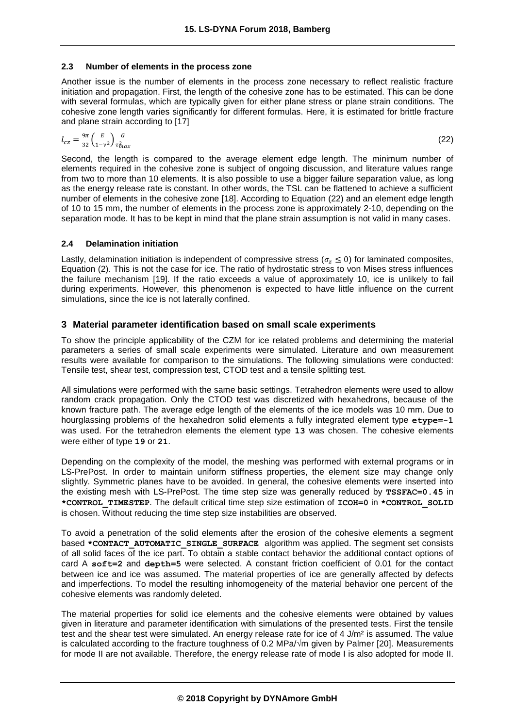#### **2.3 Number of elements in the process zone**

Another issue is the number of elements in the process zone necessary to reflect realistic fracture initiation and propagation. First, the length of the cohesive zone has to be estimated. This can be done with several formulas, which are typically given for either plane stress or plane strain conditions. The cohesive zone length varies significantly for different formulas. Here, it is estimated for brittle fracture and plane strain according to [17]

$$
l_{cz} = \frac{9\pi}{32} \left(\frac{E}{1 - v^2}\right) \frac{G}{\tau_{max}^2} \tag{22}
$$

Second, the length is compared to the average element edge length. The minimum number of elements required in the cohesive zone is subject of ongoing discussion, and literature values range from two to more than 10 elements. It is also possible to use a bigger failure separation value, as long as the energy release rate is constant. In other words, the TSL can be flattened to achieve a sufficient number of elements in the cohesive zone [18]. According to Equation (22) and an element edge length of 10 to 15 mm, the number of elements in the process zone is approximately 2-10, depending on the separation mode. It has to be kept in mind that the plane strain assumption is not valid in many cases.

## **2.4 Delamination initiation**

Lastly, delamination initiation is independent of compressive stress ( $\sigma$ <sub>z</sub>  $\leq$  0) for laminated composites, Equation (2). This is not the case for ice. The ratio of hydrostatic stress to von Mises stress influences the failure mechanism [19]. If the ratio exceeds a value of approximately 10, ice is unlikely to fail during experiments. However, this phenomenon is expected to have little influence on the current simulations, since the ice is not laterally confined.

## **3 Material parameter identification based on small scale experiments**

To show the principle applicability of the CZM for ice related problems and determining the material parameters a series of small scale experiments were simulated. Literature and own measurement results were available for comparison to the simulations. The following simulations were conducted: Tensile test, shear test, compression test, CTOD test and a tensile splitting test.

All simulations were performed with the same basic settings. Tetrahedron elements were used to allow random crack propagation. Only the CTOD test was discretized with hexahedrons, because of the known fracture path. The average edge length of the elements of the ice models was 10 mm. Due to hourglassing problems of the hexahedron solid elements a fully integrated element type **etype=-1** was used. For the tetrahedron elements the element type **13** was chosen. The cohesive elements were either of type **19** or **21**.

Depending on the complexity of the model, the meshing was performed with external programs or in LS-PrePost. In order to maintain uniform stiffness properties, the element size may change only slightly. Symmetric planes have to be avoided. In general, the cohesive elements were inserted into the existing mesh with LS-PrePost. The time step size was generally reduced by **TSSFAC=0.45** in **\*CONTROL\_TIMESTEP**. The default critical time step size estimation of **ICOH=0** in **\*CONTROL\_SOLID** is chosen. Without reducing the time step size instabilities are observed.

To avoid a penetration of the solid elements after the erosion of the cohesive elements a segment based **\*CONTACT\_AUTOMATIC\_SINGLE\_SURFACE** algorithm was applied. The segment set consists of all solid faces of the ice part. To obtain a stable contact behavior the additional contact options of card A **soft=2** and **depth=5** were selected. A constant friction coefficient of 0.01 for the contact between ice and ice was assumed. The material properties of ice are generally affected by defects and imperfections. To model the resulting inhomogeneity of the material behavior one percent of the cohesive elements was randomly deleted.

The material properties for solid ice elements and the cohesive elements were obtained by values given in literature and parameter identification with simulations of the presented tests. First the tensile test and the shear test were simulated. An energy release rate for ice of 4 J/m<sup>2</sup> is assumed. The value is calculated according to the fracture toughness of 0.2 MPa/√m given by Palmer [20]. Measurements for mode II are not available. Therefore, the energy release rate of mode I is also adopted for mode II.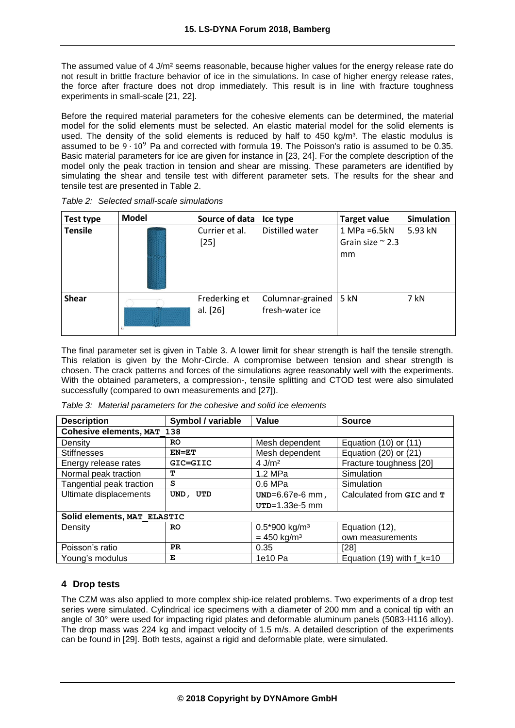The assumed value of 4 J/m<sup>2</sup> seems reasonable, because higher values for the energy release rate do not result in brittle fracture behavior of ice in the simulations. In case of higher energy release rates, the force after fracture does not drop immediately. This result is in line with fracture toughness experiments in small-scale [21, 22].

Before the required material parameters for the cohesive elements can be determined, the material model for the solid elements must be selected. An elastic material model for the solid elements is used. The density of the solid elements is reduced by half to  $450 \text{ kg/m}^3$ . The elastic modulus is assumed to be  $9 \cdot 10^9$  Pa and corrected with formula 19. The Poisson's ratio is assumed to be 0.35. Basic material parameters for ice are given for instance in [23, 24]. For the complete description of the model only the peak traction in tension and shear are missing. These parameters are identified by simulating the shear and tensile test with different parameter sets. The results for the shear and tensile test are presented in Table 2.

| Test type      | <b>Model</b> | Source of data            | Ice type                            | <b>Target value</b>                               | <b>Simulation</b> |
|----------------|--------------|---------------------------|-------------------------------------|---------------------------------------------------|-------------------|
| <b>Tensile</b> |              | Currier et al.<br>$[25]$  | Distilled water                     | $1 MPa = 6.5kN$<br>Grain size $\approx$ 2.3<br>mm | 5.93 kN           |
| <b>Shear</b>   |              | Frederking et<br>al. [26] | Columnar-grained<br>fresh-water ice | 5 kN                                              | 7 kN              |

*Table 2: Selected small-scale simulations*

The final parameter set is given in Table 3. A lower limit for shear strength is half the tensile strength. This relation is given by the Mohr-Circle. A compromise between tension and shear strength is chosen. The crack patterns and forces of the simulations agree reasonably well with the experiments. With the obtained parameters, a compression-, tensile splitting and CTOD test were also simulated successfully (compared to own measurements and [27]).

| <b>Description</b>          | Symbol / variable | Value                       | <b>Source</b>                 |
|-----------------------------|-------------------|-----------------------------|-------------------------------|
| Cohesive elements, MAT 138  |                   |                             |                               |
| Density                     | <b>RO</b>         | Mesh dependent              | Equation $(10)$ or $(11)$     |
| <b>Stiffnesses</b>          | $EN=ET$           | Mesh dependent              | Equation $(20)$ or $(21)$     |
| Energy release rates        | GIC=GIIC          | 4 J/ $m2$                   | Fracture toughness [20]       |
| Normal peak traction        | т                 | 1.2 MPa                     | Simulation                    |
| Tangential peak traction    | s                 | 0.6 MPa                     | Simulation                    |
| Ultimate displacements      | UND, UTD          | UND=6.67e-6 mm,             | Calculated from GIC and T     |
|                             |                   | UTD=1.33e-5 mm              |                               |
| Solid elements, MAT ELASTIC |                   |                             |                               |
| Density                     | <b>RO</b>         | $0.5*900$ kg/m <sup>3</sup> | Equation (12),                |
|                             |                   | $= 450$ kg/m <sup>3</sup>   | own measurements              |
| Poisson's ratio             | PR.               | 0.35                        | [28]                          |
| Young's modulus             | Е                 | 1e10 Pa                     | Equation (19) with $f_{k=10}$ |

*Table 3: Material parameters for the cohesive and solid ice elements*

## **4 Drop tests**

The CZM was also applied to more complex ship-ice related problems. Two experiments of a drop test series were simulated. Cylindrical ice specimens with a diameter of 200 mm and a conical tip with an angle of 30° were used for impacting rigid plates and deformable aluminum panels (5083-H116 alloy). The drop mass was 224 kg and impact velocity of 1.5 m/s. A detailed description of the experiments can be found in [29]. Both tests, against a rigid and deformable plate, were simulated.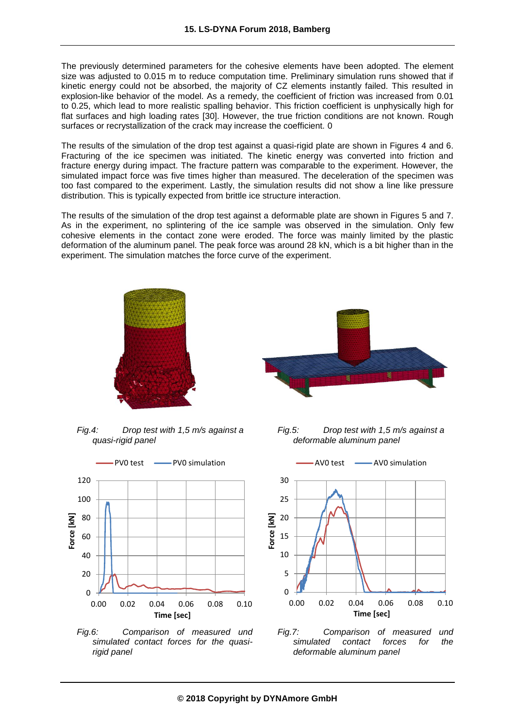The previously determined parameters for the cohesive elements have been adopted. The element size was adjusted to 0.015 m to reduce computation time. Preliminary simulation runs showed that if kinetic energy could not be absorbed, the majority of CZ elements instantly failed. This resulted in explosion-like behavior of the model. As a remedy, the coefficient of friction was increased from 0.01 to 0.25, which lead to more realistic spalling behavior. This friction coefficient is unphysically high for flat surfaces and high loading rates [30]. However, the true friction conditions are not known. Rough surfaces or recrystallization of the crack may increase the coefficient. 0

The results of the simulation of the drop test against a quasi-rigid plate are shown in Figures 4 and 6. Fracturing of the ice specimen was initiated. The kinetic energy was converted into friction and fracture energy during impact. The fracture pattern was comparable to the experiment. However, the simulated impact force was five times higher than measured. The deceleration of the specimen was too fast compared to the experiment. Lastly, the simulation results did not show a line like pressure distribution. This is typically expected from brittle ice structure interaction.

The results of the simulation of the drop test against a deformable plate are shown in Figures 5 and 7. As in the experiment, no splintering of the ice sample was observed in the simulation. Only few cohesive elements in the contact zone were eroded. The force was mainly limited by the plastic deformation of the aluminum panel. The peak force was around 28 kN, which is a bit higher than in the experiment. The simulation matches the force curve of the experiment.



*Fig.4: Drop test with 1,5 m/s against a quasi-rigid panel*







*Fig.5: Drop test with 1,5 m/s against a deformable aluminum panel*



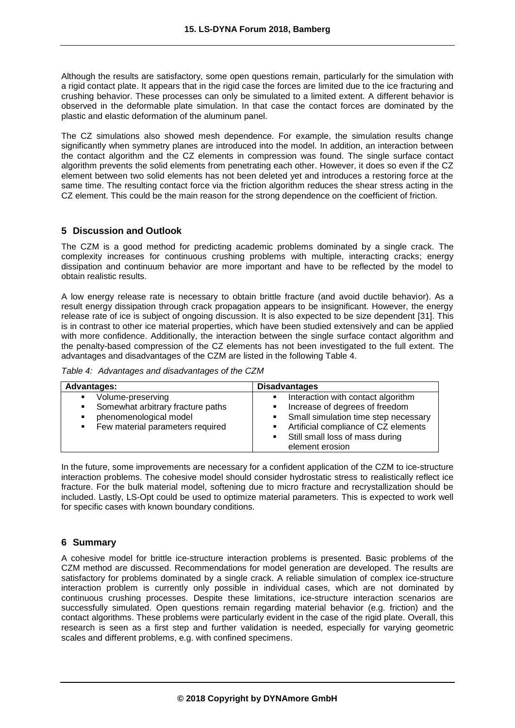Although the results are satisfactory, some open questions remain, particularly for the simulation with a rigid contact plate. It appears that in the rigid case the forces are limited due to the ice fracturing and crushing behavior. These processes can only be simulated to a limited extent. A different behavior is observed in the deformable plate simulation. In that case the contact forces are dominated by the plastic and elastic deformation of the aluminum panel.

The CZ simulations also showed mesh dependence. For example, the simulation results change significantly when symmetry planes are introduced into the model. In addition, an interaction between the contact algorithm and the CZ elements in compression was found. The single surface contact algorithm prevents the solid elements from penetrating each other. However, it does so even if the CZ element between two solid elements has not been deleted yet and introduces a restoring force at the same time. The resulting contact force via the friction algorithm reduces the shear stress acting in the CZ element. This could be the main reason for the strong dependence on the coefficient of friction.

## **5 Discussion and Outlook**

The CZM is a good method for predicting academic problems dominated by a single crack. The complexity increases for continuous crushing problems with multiple, interacting cracks; energy dissipation and continuum behavior are more important and have to be reflected by the model to obtain realistic results.

A low energy release rate is necessary to obtain brittle fracture (and avoid ductile behavior). As a result energy dissipation through crack propagation appears to be insignificant. However, the energy release rate of ice is subject of ongoing discussion. It is also expected to be size dependent [31]. This is in contrast to other ice material properties, which have been studied extensively and can be applied with more confidence. Additionally, the interaction between the single surface contact algorithm and the penalty-based compression of the CZ elements has not been investigated to the full extent. The advantages and disadvantages of the CZM are listed in the following Table 4.

|  | Table 4: Advantages and disadvantages of the CZM |  |  |
|--|--------------------------------------------------|--|--|
|--|--------------------------------------------------|--|--|

| <b>Advantages:</b>                                                                                                                                                              | <b>Disadvantages</b>                                                                                                                                                                                       |
|---------------------------------------------------------------------------------------------------------------------------------------------------------------------------------|------------------------------------------------------------------------------------------------------------------------------------------------------------------------------------------------------------|
| Volume-preserving<br>$\blacksquare$<br>Somewhat arbitrary fracture paths<br>٠<br>phenomenological model<br>$\blacksquare$<br>Few material parameters required<br>$\blacksquare$ | Interaction with contact algorithm<br>Increase of degrees of freedom<br>Small simulation time step necessary<br>Artificial compliance of CZ elements<br>Still small loss of mass during<br>element erosion |

In the future, some improvements are necessary for a confident application of the CZM to ice-structure interaction problems. The cohesive model should consider hydrostatic stress to realistically reflect ice fracture. For the bulk material model, softening due to micro fracture and recrystallization should be included. Lastly, LS-Opt could be used to optimize material parameters. This is expected to work well for specific cases with known boundary conditions.

## **6 Summary**

A cohesive model for brittle ice-structure interaction problems is presented. Basic problems of the CZM method are discussed. Recommendations for model generation are developed. The results are satisfactory for problems dominated by a single crack. A reliable simulation of complex ice-structure interaction problem is currently only possible in individual cases, which are not dominated by continuous crushing processes. Despite these limitations, ice-structure interaction scenarios are successfully simulated. Open questions remain regarding material behavior (e.g. friction) and the contact algorithms. These problems were particularly evident in the case of the rigid plate. Overall, this research is seen as a first step and further validation is needed, especially for varying geometric scales and different problems, e.g. with confined specimens.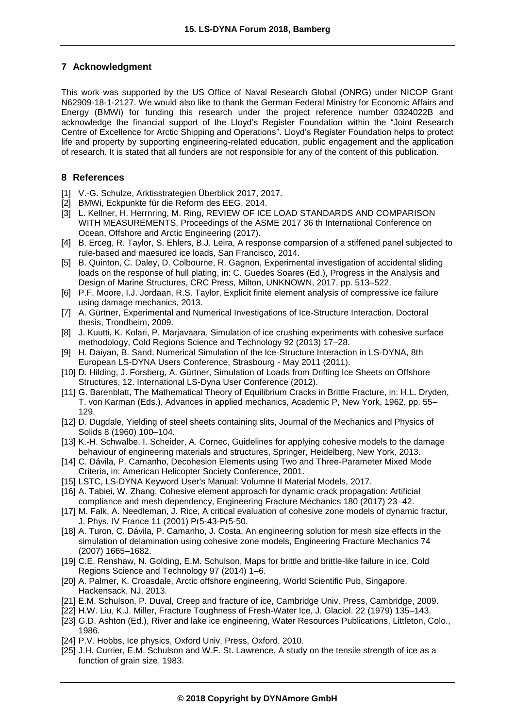# **7 Acknowledgment**

This work was supported by the US Office of Naval Research Global (ONRG) under NICOP Grant N62909-18-1-2127. We would also like to thank the German Federal Ministry for Economic Affairs and Energy (BMWi) for funding this research under the project reference number 0324022B and acknowledge the financial support of the Lloyd's Register Foundation within the "Joint Research Centre of Excellence for Arctic Shipping and Operations". Lloyd's Register Foundation helps to protect life and property by supporting engineering-related education, public engagement and the application of research. It is stated that all funders are not responsible for any of the content of this publication.

# **8 References**

- [1] V.-G. Schulze, Arktisstrategien Überblick 2017, 2017.
- [2] BMWi, Eckpunkte für die Reform des EEG, 2014.
- [3] L. Kellner, H. Herrnring, M. Ring, REVIEW OF ICE LOAD STANDARDS AND COMPARISON WITH MEASUREMENTS, Proceedings of the ASME 2017 36 th International Conference on Ocean, Offshore and Arctic Engineering (2017).
- [4] B. Erceg, R. Taylor, S. Ehlers, B.J. Leira, A response comparsion of a stiffened panel subjected to rule-based and maesured ice loads, San Francisco, 2014.
- [5] B. Quinton, C. Daley, D. Colbourne, R. Gagnon, Experimental investigation of accidental sliding loads on the response of hull plating, in: C. Guedes Soares (Ed.), Progress in the Analysis and Design of Marine Structures, CRC Press, Milton, UNKNOWN, 2017, pp. 513–522.
- [6] P.F. Moore, I.J. Jordaan, R.S. Taylor, Explicit finite element analysis of compressive ice failure using damage mechanics, 2013.
- [7] A. Gürtner, Experimental and Numerical Investigations of Ice-Structure Interaction. Doctoral thesis, Trondheim, 2009.
- [8] J. Kuutti, K. Kolari, P. Marjavaara, Simulation of ice crushing experiments with cohesive surface methodology, Cold Regions Science and Technology 92 (2013) 17–28.
- [9] H. Daiyan, B. Sand, Numerical Simulation of the Ice-Structure Interaction in LS-DYNA, 8th European LS-DYNA Users Conference, Strasbourg - May 2011 (2011).
- [10] D. Hilding, J. Forsberg, A. Gürtner, Simulation of Loads from Drifting Ice Sheets on Offshore Structures, 12. International LS-Dyna User Conference (2012).
- [11] G. Barenblatt, The Mathematical Theory of Equilibrium Cracks in Brittle Fracture, in: H.L. Dryden, T. von Karman (Eds.), Advances in applied mechanics, Academic P, New York, 1962, pp. 55– 129.
- [12] D. Dugdale, Yielding of steel sheets containing slits, Journal of the Mechanics and Physics of Solids 8 (1960) 100–104.
- [13] K.-H. Schwalbe, I. Scheider, A. Cornec, Guidelines for applying cohesive models to the damage behaviour of engineering materials and structures, Springer, Heidelberg, New York, 2013.
- [14] C. Dávila, P. Camanho, Decohesion Elements using Two and Three-Parameter Mixed Mode Criteria, in: American Helicopter Society Conference, 2001.
- [15] LSTC, LS-DYNA Keyword User's Manual: Volumne II Material Models, 2017.
- [16] A. Tabiei, W. Zhang, Cohesive element approach for dynamic crack propagation: Artificial compliance and mesh dependency, Engineering Fracture Mechanics 180 (2017) 23–42.
- [17] M. Falk, A. Needleman, J. Rice, A critical evaluation of cohesive zone models of dynamic fractur, J. Phys. IV France 11 (2001) Pr5-43-Pr5-50.
- [18] A. Turon, C. Dávila, P. Camanho, J. Costa, An engineering solution for mesh size effects in the simulation of delamination using cohesive zone models, Engineering Fracture Mechanics 74 (2007) 1665–1682.
- [19] C.E. Renshaw, N. Golding, E.M. Schulson, Maps for brittle and brittle-like failure in ice, Cold Regions Science and Technology 97 (2014) 1–6.
- [20] A. Palmer, K. Croasdale, Arctic offshore engineering, World Scientific Pub, Singapore, Hackensack, NJ, 2013.
- [21] E.M. Schulson, P. Duval, Creep and fracture of ice, Cambridge Univ. Press, Cambridge, 2009.
- [22] H.W. Liu, K.J. Miller, Fracture Toughness of Fresh-Water Ice, J. Glaciol. 22 (1979) 135–143.
- [23] G.D. Ashton (Ed.), River and lake ice engineering, Water Resources Publications, Littleton, Colo., 1986.
- [24] P.V. Hobbs, Ice physics, Oxford Univ. Press, Oxford, 2010.
- [25] J.H. Currier, E.M. Schulson and W.F. St. Lawrence, A study on the tensile strength of ice as a function of grain size, 1983.